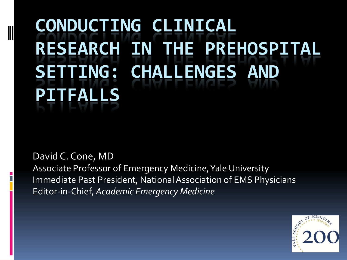# **CONDUCTING CLINICAL RESEARCH IN THE PREHOSPITAL SETTING: CHALLENGES AND PITFALLS**

#### David C. Cone, MD

Associate Professor of Emergency Medicine, Yale University Immediate Past President, National Association of EMS Physicians Editor-in-Chief, *Academic Emergency Medicine*

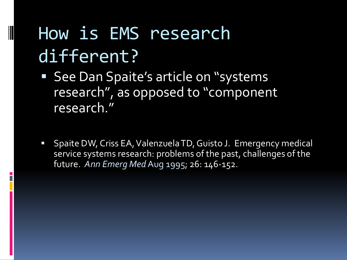# How is EMS research different?

- See Dan Spaite's article on "systems research", as opposed to "component research."
- Spaite DW, Criss EA, Valenzuela TD, Guisto J. Emergency medical service systems research: problems of the past, challenges of the future. *Ann Emerg Med*Aug 1995; 26: 146-152.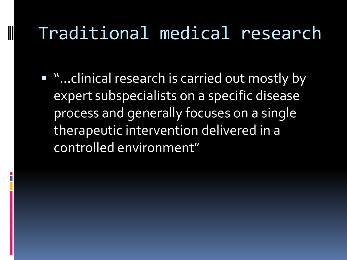### Traditional medical research

■ "...clinical research is carried out mostly by expert subspecialists on a specific disease process and generally focuses on a single therapeutic intervention delivered in a controlled environment"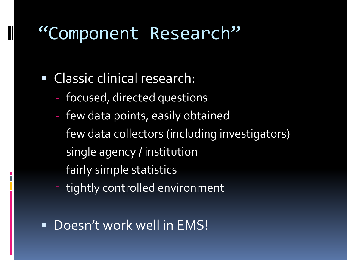#### "Component Research"

#### Classic clinical research:

- focused, directed questions
- few data points, easily obtained
- few data collectors (including investigators)
- single agency / institution
- fairly simple statistics
- tightly controlled environment

#### **Doesn't work well in EMS!**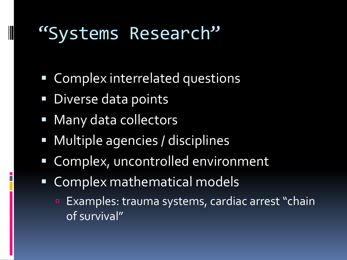#### "Systems Research"

- Complex interrelated questions
- **Diverse data points**

- **Many data collectors**
- **Multiple agencies / disciplines**
- Complex, uncontrolled environment
- Complex mathematical models
	- **Examples: trauma systems, cardiac arrest "chain** of survival"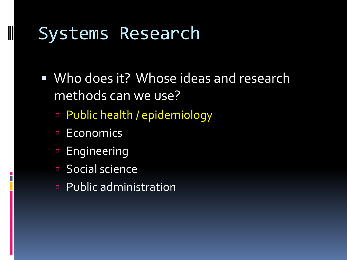#### Systems Research

- Who does it? Whose ideas and research methods can we use?
	- Public health / epidemiology
	- **Economics**

- **Engineering**
- Social science
- Public administration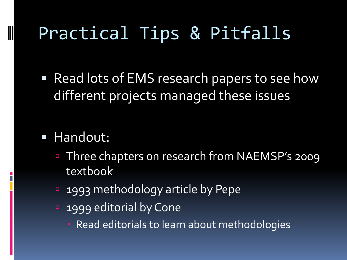# Practical Tips & Pitfalls

■ Read lots of EMS research papers to see how different projects managed these issues

#### **Handout:**

- Three chapters on research from NAEMSP's 2009 textbook
- 1993 methodology article by Pepe
- **1999 editorial by Cone** 
	- **Read editorials to learn about methodologies**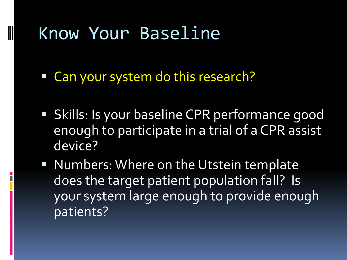#### Know Your Baseline

Can your system do this research?

- **Skills: Is your baseline CPR performance good** enough to participate in a trial of a CPR assist device?
- **Numbers: Where on the Utstein template** does the target patient population fall? Is your system large enough to provide enough patients?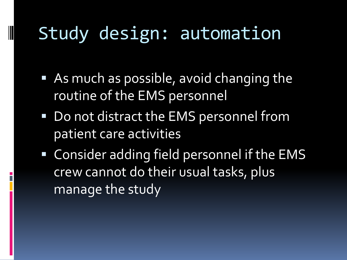### Study design: automation

- **As much as possible, avoid changing the** routine of the EMS personnel
- Do not distract the EMS personnel from patient care activities
- **EXALE:** Consider adding field personnel if the EMS crew cannot do their usual tasks, plus manage the study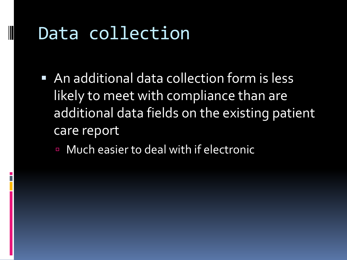### Data collection

- An additional data collection form is less likely to meet with compliance than are additional data fields on the existing patient care report
	- Much easier to deal with if electronic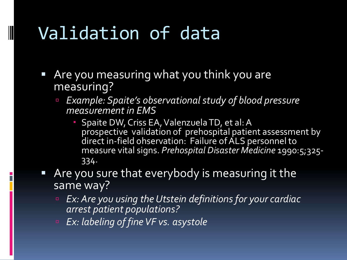# Validation of data

- Are you measuring what you think you are measuring?
	- *Example: Spaite's observational study of blood pressure measurement in EMS*
		- **Spaite DW, Criss EA, Valenzuela TD, et al: A** prospective validation of prehospital patient assessment by direct in-field ohservation: Failure of ALS personnel to measure vital signs. *Prehospital Disaster Medicine* 1990:5;325- 334.
- Are you sure that everybody is measuring it the same way?
	- *Ex: Are you using the Utstein definitions for your cardiac arrest patient populations?*
	- *Ex: labeling of fine VF vs. asystole*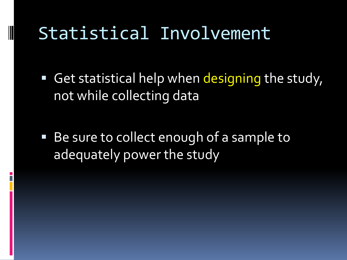## Statistical Involvement

Get statistical help when designing the study, not while collecting data

■ Be sure to collect enough of a sample to adequately power the study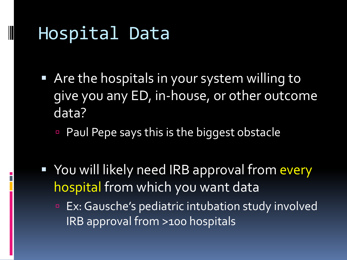#### Hospital Data

- Are the hospitals in your system willing to give you any ED, in-house, or other outcome data?
	- **Paul Pepe says this is the biggest obstacle**
- You will likely need IRB approval from every hospital from which you want data
	- **Ex: Gausche's pediatric intubation study involved** IRB approval from >100 hospitals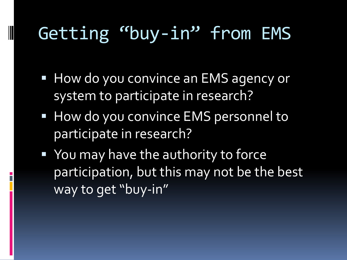# Getting "buy-in" from EMS

- **How do you convince an EMS agency or** system to participate in research?
- **How do you convince EMS personnel to** participate in research?
- **You may have the authority to force** participation, but this may not be the best way to get "buy-in"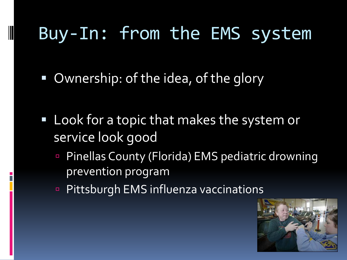# Buy-In: from the EMS system

Ownership: of the idea, of the glory

- **Look for a topic that makes the system or** service look good
	- Pinellas County (Florida) EMS pediatric drowning prevention program
	- **Pittsburgh EMS influenza vaccinations**

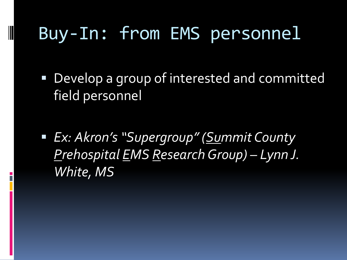# Buy-In: from EMS personnel

- Develop a group of interested and committed field personnel
- *Ex: Akron's "Supergroup" (Summit County Prehospital EMS Research Group) – Lynn J. White, MS*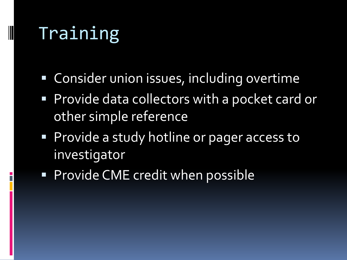# Training

- **Consider union issues, including overtime**
- **Provide data collectors with a pocket card or** other simple reference
- **Provide a study hotline or pager access to** investigator
- **Provide CME credit when possible**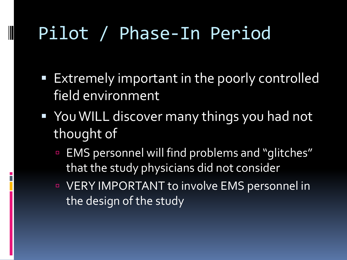# Pilot / Phase-In Period

- **Extremely important in the poorly controlled** field environment
- You WILL discover many things you had not thought of
	- EMS personnel will find problems and "glitches" that the study physicians did not consider
	- VERY IMPORTANT to involve EMS personnel in the design of the study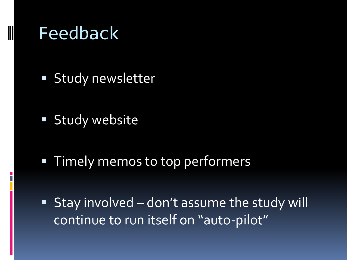#### Feedback

- **Study newsletter**
- **Study website**

- **Timely memos to top performers**
- Stay involved don't assume the study will continue to run itself on "auto-pilot"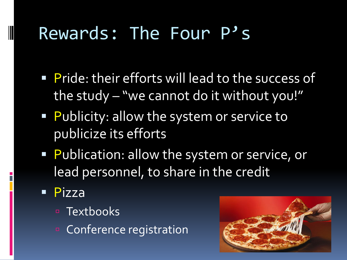# Rewards: The Four P's

- **Pride: their efforts will lead to the success of** the study – "we cannot do it without you!"
- **Publicity: allow the system or service to** publicize its efforts
- **Publication: allow the system or service, or** lead personnel, to share in the credit
- **Pizza**

- **E** Textbooks
- **E** Conference registration